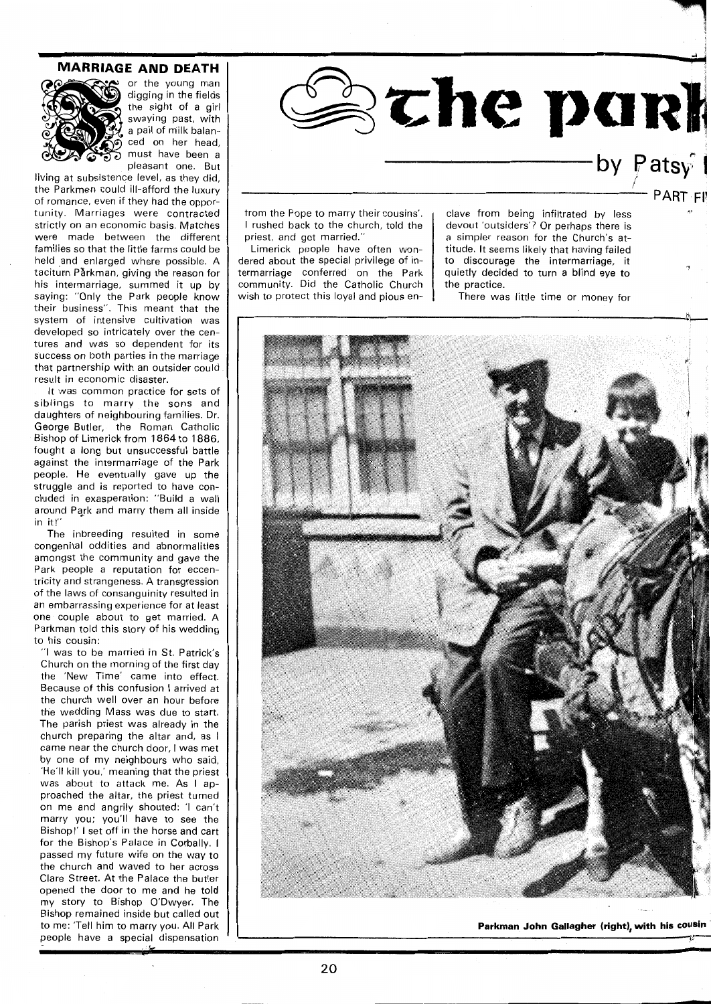## **MARRIAGE AND DEATH**



or the young man digging in the fields the sight of a girl swaying past, with a pail of m'ilk balanced on her head, must have been a pleasant one. But

living at subsistence level, as they did, the Parkmen could ill-afford the luxury of romance, even if they had the opportunity. Marriages were contracted strictly on an economic basis. Matches were made between the different families so that the little farms could be held and enlarged where possible. A taciturn Pårkman, giving the reason for his intermarriage, summed it up by saying: "Only the Park people know their business". This meant that the system of intensive cultivation was developed so intricately over the centures and was so dependent for its success on both parties in the marriage that partnership with an outsider could result in economic disaster.

It was common practice for sets of siblings to marry the sons and daughters of neighbouring families. Dr. George Butler, the Roman Catholic Bishop of Limerick from 1864 to 1886, fought a long but unsuccessful battle against the intermarriage of the Park people. He eventually gave up the struggle and is reported to have concluded in exasperation: "Build a wall around Perk and marry them all inside in it!"

The inbreeding resulted in some congenital oddities and abnormalities amongst the community and gave the Park people a reputation for eccentricity and strangeness. A transgression of the laws of consanguinity resulted in an embarrassing experience for at least one couple about to get married. A Parkman told this story of his wedding to his cousin:

"I was to be married in St. Patrick's Church on the morning of the first day the 'New Time' came into effect. Because of this confusion I arrived at the church well over an hour before the wedding Mass was due to start. The parish priest was already in the church preparing the altar and, as I came near the church door, I was met by one of my neighbours who said, 'He'll kill you,' meaning that the priest was about to attack me. As I approached the altar, the priest turned on me and angrily shouted: 'l can't marry you; you'll have to see the Bishopl' I set off in the horse and cart for the Bishop's Palace in Corbally. I passed my future wife on the way to the church and waved to her across Clare Street. At the Palace the butler opened the door to me and he told my story to Bishop O'Dwyer. The Bishop remained inside but called out to me: 'Tell him to marry you. All Park people have a special dispensation



 $\frac{1}{2}$ **PART FI** 

trom the Pope to marry their cousins'. I rushed back to the church, told the priest, and got married."

Limerick people have often wondered about the special privilege of inermarriage conferred on the Park community. Did the Catholic Church vish to protect this loyal and pious en-

clave from being infiltrated by less devout 'outsiders'? Or perhaps there is a simpler reason for the Church's attitude. It seems likely that having failed to discourage the intermarriage, it quietly decided to turn a blind eye to the practice.

There was little time or money for